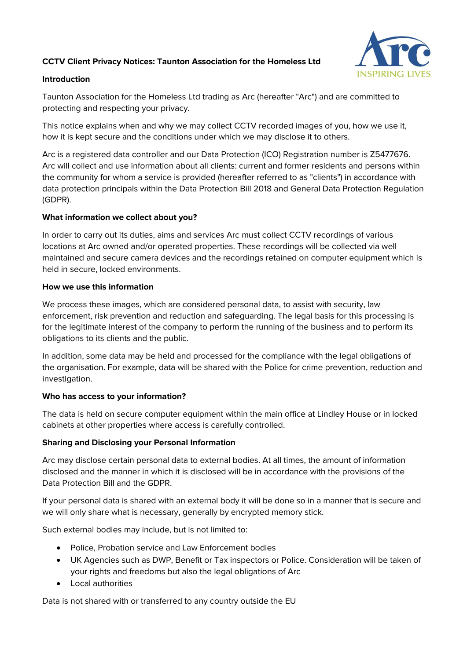# **CCTV Client Privacy Notices: Taunton Association for the Homeless Ltd**



### **Introduction**

Taunton Association for the Homeless Ltd trading as Arc (hereafter "Arc") and are committed to protecting and respecting your privacy.

This notice explains when and why we may collect CCTV recorded images of you, how we use it, how it is kept secure and the conditions under which we may disclose it to others.

Arc is a registered data controller and our Data Protection (ICO) Registration number is Z5477676. Arc will collect and use information about all clients: current and former residents and persons within the community for whom a service is provided (hereafter referred to as "clients") in accordance with data protection principals within the Data Protection Bill 2018 and General Data Protection Regulation (GDPR).

#### **What information we collect about you?**

In order to carry out its duties, aims and services Arc must collect CCTV recordings of various locations at Arc owned and/or operated properties. These recordings will be collected via well maintained and secure camera devices and the recordings retained on computer equipment which is held in secure, locked environments.

#### **How we use this information**

We process these images, which are considered personal data, to assist with security, law enforcement, risk prevention and reduction and safeguarding. The legal basis for this processing is for the legitimate interest of the company to perform the running of the business and to perform its obligations to its clients and the public.

In addition, some data may be held and processed for the compliance with the legal obligations of the organisation. For example, data will be shared with the Police for crime prevention, reduction and investigation.

## **Who has access to your information?**

The data is held on secure computer equipment within the main office at Lindley House or in locked cabinets at other properties where access is carefully controlled.

## **Sharing and Disclosing your Personal Information**

Arc may disclose certain personal data to external bodies. At all times, the amount of information disclosed and the manner in which it is disclosed will be in accordance with the provisions of the Data Protection Bill and the GDPR.

If your personal data is shared with an external body it will be done so in a manner that is secure and we will only share what is necessary, generally by encrypted memory stick.

Such external bodies may include, but is not limited to:

- Police, Probation service and Law Enforcement bodies
- UK Agencies such as DWP, Benefit or Tax inspectors or Police. Consideration will be taken of your rights and freedoms but also the legal obligations of Arc
- Local authorities

Data is not shared with or transferred to any country outside the EU